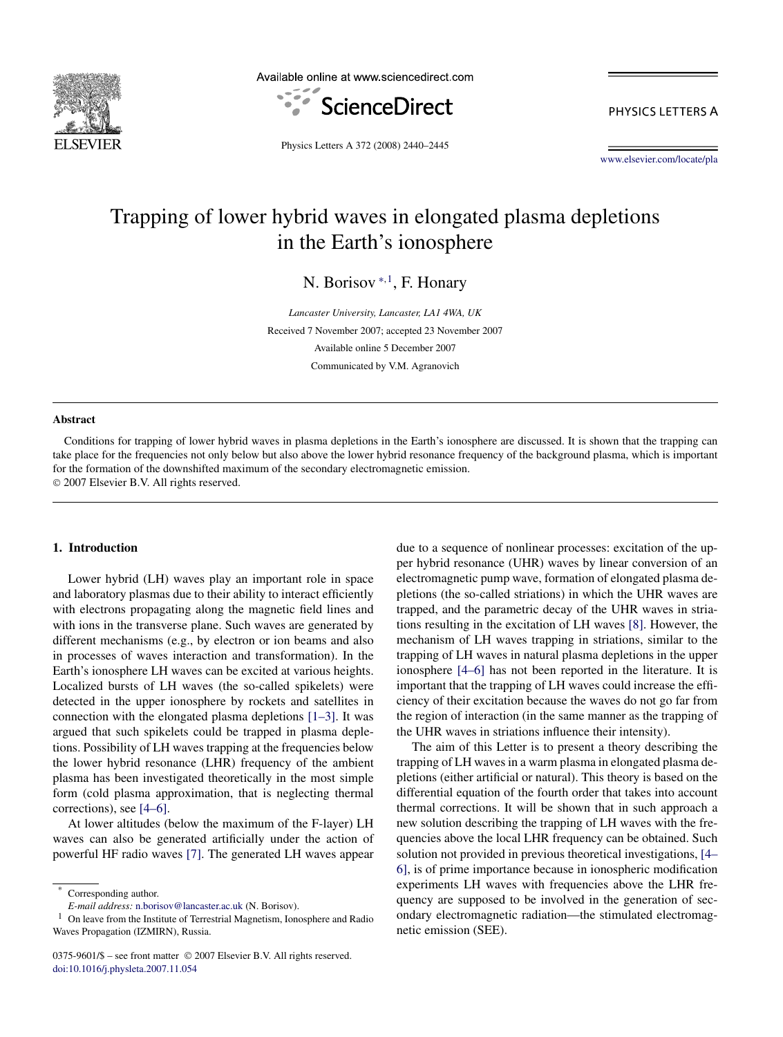

Available online at www.sciencedirect.com



PHYSICS LETTERS A

Physics Letters A 372 (2008) 2440–2445

[www.elsevier.com/locate/pla](http://www.elsevier.com/locate/pla)

# Trapping of lower hybrid waves in elongated plasma depletions in the Earth's ionosphere

N. Borisov <sup>∗</sup>*,*<sup>1</sup> , F. Honary

*Lancaster University, Lancaster, LA1 4WA, UK* Received 7 November 2007; accepted 23 November 2007 Available online 5 December 2007 Communicated by V.M. Agranovich

#### **Abstract**

Conditions for trapping of lower hybrid waves in plasma depletions in the Earth's ionosphere are discussed. It is shown that the trapping can take place for the frequencies not only below but also above the lower hybrid resonance frequency of the background plasma, which is important for the formation of the downshifted maximum of the secondary electromagnetic emission. © 2007 Elsevier B.V. All rights reserved.

# **1. Introduction**

Lower hybrid (LH) waves play an important role in space and laboratory plasmas due to their ability to interact efficiently with electrons propagating along the magnetic field lines and with ions in the transverse plane. Such waves are generated by different mechanisms (e.g., by electron or ion beams and also in processes of waves interaction and transformation). In the Earth's ionosphere LH waves can be excited at various heights. Localized bursts of LH waves (the so-called spikelets) were detected in the upper ionosphere by rockets and satellites in connection with the elongated plasma depletions [\[1–3\].](#page-4-0) It was argued that such spikelets could be trapped in plasma depletions. Possibility of LH waves trapping at the frequencies below the lower hybrid resonance (LHR) frequency of the ambient plasma has been investigated theoretically in the most simple form (cold plasma approximation, that is neglecting thermal corrections), see [\[4–6\].](#page-4-0)

At lower altitudes (below the maximum of the F-layer) LH waves can also be generated artificially under the action of powerful HF radio waves [\[7\].](#page-5-0) The generated LH waves appear due to a sequence of nonlinear processes: excitation of the upper hybrid resonance (UHR) waves by linear conversion of an electromagnetic pump wave, formation of elongated plasma depletions (the so-called striations) in which the UHR waves are trapped, and the parametric decay of the UHR waves in striations resulting in the excitation of LH waves [\[8\].](#page-5-0) However, the mechanism of LH waves trapping in striations, similar to the trapping of LH waves in natural plasma depletions in the upper ionosphere [\[4–6\]](#page-4-0) has not been reported in the literature. It is important that the trapping of LH waves could increase the efficiency of their excitation because the waves do not go far from the region of interaction (in the same manner as the trapping of the UHR waves in striations influence their intensity).

The aim of this Letter is to present a theory describing the trapping of LH waves in a warm plasma in elongated plasma depletions (either artificial or natural). This theory is based on the differential equation of the fourth order that takes into account thermal corrections. It will be shown that in such approach a new solution describing the trapping of LH waves with the frequencies above the local LHR frequency can be obtained. Such solution not provided in previous theoretical investigations, [\[4–](#page-4-0) [6\],](#page-4-0) is of prime importance because in ionospheric modification experiments LH waves with frequencies above the LHR frequency are supposed to be involved in the generation of secondary electromagnetic radiation—the stimulated electromagnetic emission (SEE).

Corresponding author.

*E-mail address:* [n.borisov@lancaster.ac.uk](mailto:n.borisov@lancaster.ac.uk) (N. Borisov).

<sup>1</sup> On leave from the Institute of Terrestrial Magnetism, Ionosphere and Radio Waves Propagation (IZMIRN), Russia.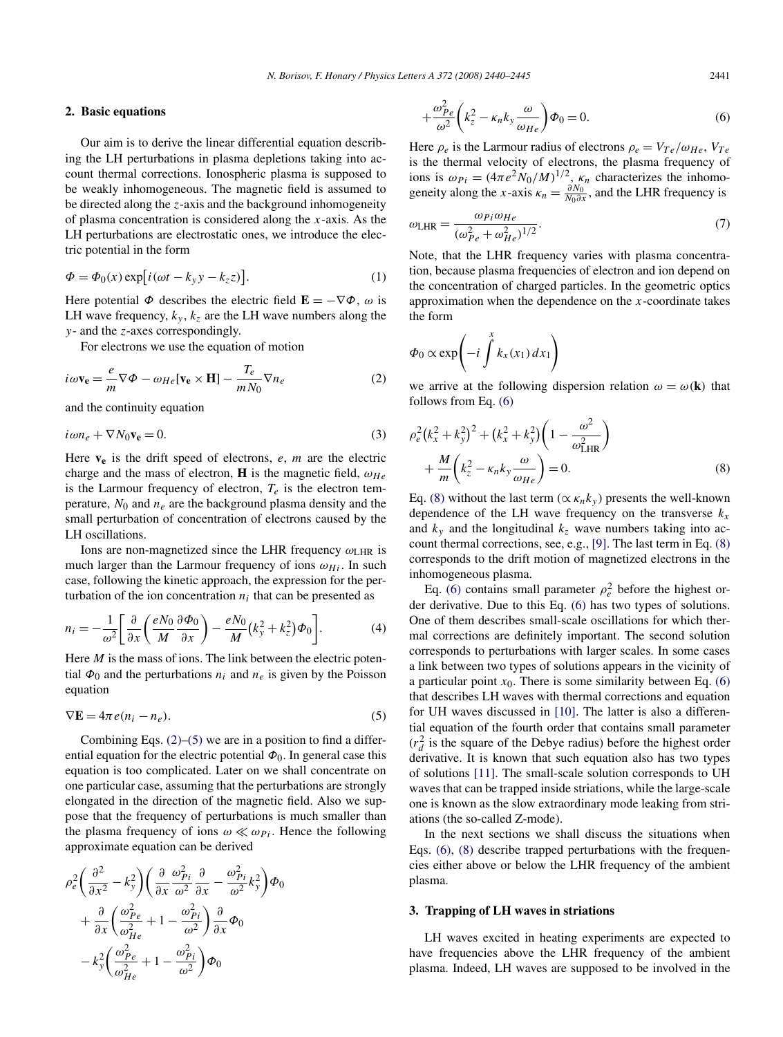#### *N. Borisov, F. Honary / Physics Letters A 372 (2008) 2440–2445* 2441

## <span id="page-1-0"></span>**2. Basic equations**

Our aim is to derive the linear differential equation describing the LH perturbations in plasma depletions taking into account thermal corrections. Ionospheric plasma is supposed to be weakly inhomogeneous. The magnetic field is assumed to be directed along the *z*-axis and the background inhomogeneity of plasma concentration is considered along the *x*-axis. As the LH perturbations are electrostatic ones, we introduce the electric potential in the form

$$
\Phi = \Phi_0(x) \exp[i(\omega t - k_y y - k_z z)]. \tag{1}
$$

Here potential  $\Phi$  describes the electric field  $\mathbf{E} = -\nabla \Phi$ ,  $\omega$  is LH wave frequency,  $k_y$ ,  $k_z$  are the LH wave numbers along the *y*- and the *z*-axes correspondingly.

For electrons we use the equation of motion

$$
i\omega \mathbf{v_e} = \frac{e}{m} \nabla \Phi - \omega_{He} [\mathbf{v_e} \times \mathbf{H}] - \frac{T_e}{mN_0} \nabla n_e
$$
 (2)

and the continuity equation

$$
i\omega n_e + \nabla N_0 \mathbf{v_e} = 0. \tag{3}
$$

Here **ve** is the drift speed of electrons, *e*, *m* are the electric charge and the mass of electron, **H** is the magnetic field,  $\omega_{He}$ is the Larmour frequency of electron,  $T_e$  is the electron temperature,  $N_0$  and  $n_e$  are the background plasma density and the small perturbation of concentration of electrons caused by the LH oscillations.

Ions are non-magnetized since the LHR frequency  $ω$ <sub>LHR</sub> is much larger than the Larmour frequency of ions  $\omega_{Hi}$ . In such case, following the kinetic approach, the expression for the perturbation of the ion concentration  $n_i$  that can be presented as

$$
n_i = -\frac{1}{\omega^2} \left[ \frac{\partial}{\partial x} \left( \frac{eN_0}{M} \frac{\partial \Phi_0}{\partial x} \right) - \frac{eN_0}{M} \left( k_y^2 + k_z^2 \right) \Phi_0 \right].
$$
 (4)

Here *M* is the mass of ions. The link between the electric potential  $\Phi_0$  and the perturbations  $n_i$  and  $n_e$  is given by the Poisson equation

$$
\nabla \mathbf{E} = 4\pi e (n_i - n_e). \tag{5}
$$

Combining Eqs.  $(2)$ – $(5)$  we are in a position to find a differential equation for the electric potential  $\Phi_0$ . In general case this equation is too complicated. Later on we shall concentrate on one particular case, assuming that the perturbations are strongly elongated in the direction of the magnetic field. Also we suppose that the frequency of perturbations is much smaller than the plasma frequency of ions  $\omega \ll \omega_{pi}$ . Hence the following approximate equation can be derived

$$
\rho_e^2 \left( \frac{\partial^2}{\partial x^2} - k_y^2 \right) \left( \frac{\partial}{\partial x} \frac{\omega_{Pi}^2}{\omega^2} \frac{\partial}{\partial x} - \frac{\omega_{Pi}^2}{\omega^2} k_y^2 \right) \Phi_0
$$
  
+ 
$$
\frac{\partial}{\partial x} \left( \frac{\omega_{Pe}^2}{\omega_{He}^2} + 1 - \frac{\omega_{Pi}^2}{\omega^2} \right) \frac{\partial}{\partial x} \Phi_0
$$
  
- 
$$
k_y^2 \left( \frac{\omega_{Pe}^2}{\omega_{He}^2} + 1 - \frac{\omega_{Pi}^2}{\omega^2} \right) \Phi_0
$$

$$
+\frac{\omega_{Pe}^2}{\omega^2} \left(k_z^2 - \kappa_n k_y \frac{\omega}{\omega_{He}}\right) \Phi_0 = 0.
$$
 (6)

Here  $\rho_e$  is the Larmour radius of electrons  $\rho_e = V_{Te}/\omega_{He}$ ,  $V_{Te}$ is the thermal velocity of electrons, the plasma frequency of ions is  $\omega_{Pi} = (4\pi e^2 N_0/M)^{1/2}$ ,  $\kappa_n$  characterizes the inhomogeneity along the *x*-axis  $\kappa_n = \frac{\partial N_0}{N_0 \partial x}$ , and the LHR frequency is

$$
\omega_{\text{LHR}} = \frac{\omega_{Pi}\omega_{He}}{(\omega_{Pe}^2 + \omega_{He}^2)^{1/2}}.
$$
\n(7)

Note, that the LHR frequency varies with plasma concentration, because plasma frequencies of electron and ion depend on the concentration of charged particles. In the geometric optics approximation when the dependence on the *x*-coordinate takes the form

$$
\Phi_0 \propto \exp\left(-i\int_0^x k_x(x_1)\,dx_1\right)
$$

we arrive at the following dispersion relation  $\omega = \omega(\mathbf{k})$  that follows from Eq. (6)

$$
\rho_e^2 (k_x^2 + k_y^2)^2 + (k_x^2 + k_y^2) \left( 1 - \frac{\omega^2}{\omega_{\text{LHR}}^2} \right) + \frac{M}{m} \left( k_z^2 - \kappa_n k_y \frac{\omega}{\omega_{He}} \right) = 0.
$$
\n(8)

Eq. (8) without the last term ( $\propto \kappa_n k_v$ ) presents the well-known dependence of the LH wave frequency on the transverse  $k_x$ and  $k_y$  and the longitudinal  $k_z$  wave numbers taking into account thermal corrections, see, e.g., [\[9\].](#page-5-0) The last term in Eq. (8) corresponds to the drift motion of magnetized electrons in the inhomogeneous plasma.

Eq. (6) contains small parameter  $\rho_e^2$  before the highest order derivative. Due to this Eq. (6) has two types of solutions. One of them describes small-scale oscillations for which thermal corrections are definitely important. The second solution corresponds to perturbations with larger scales. In some cases a link between two types of solutions appears in the vicinity of a particular point  $x_0$ . There is some similarity between Eq. (6) that describes LH waves with thermal corrections and equation for UH waves discussed in [\[10\].](#page-5-0) The latter is also a differential equation of the fourth order that contains small parameter  $(r_d^2)$  is the square of the Debye radius) before the highest order derivative. It is known that such equation also has two types of solutions [\[11\].](#page-5-0) The small-scale solution corresponds to UH waves that can be trapped inside striations, while the large-scale one is known as the slow extraordinary mode leaking from striations (the so-called Z-mode).

In the next sections we shall discuss the situations when Eqs. (6), (8) describe trapped perturbations with the frequencies either above or below the LHR frequency of the ambient plasma.

## **3. Trapping of LH waves in striations**

LH waves excited in heating experiments are expected to have frequencies above the LHR frequency of the ambient plasma. Indeed, LH waves are supposed to be involved in the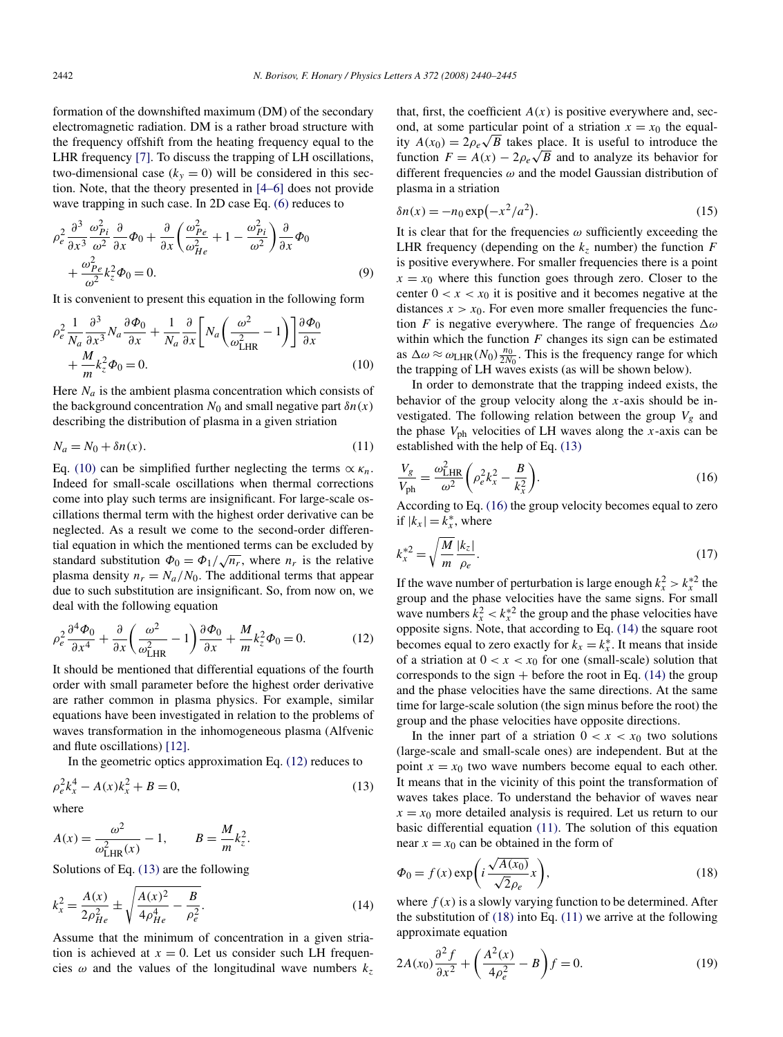<span id="page-2-0"></span>formation of the downshifted maximum (DM) of the secondary electromagnetic radiation. DM is a rather broad structure with the frequency offshift from the heating frequency equal to the LHR frequency [\[7\].](#page-5-0) To discuss the trapping of LH oscillations, two-dimensional case  $(k_y = 0)$  will be considered in this section. Note, that the theory presented in [\[4–6\]](#page-4-0) does not provide wave trapping in such case. In 2D case Eq. [\(6\)](#page-1-0) reduces to

$$
\rho_e^2 \frac{\partial^3}{\partial x^3} \frac{\omega_{Pi}^2}{\omega^2} \frac{\partial}{\partial x} \Phi_0 + \frac{\partial}{\partial x} \left( \frac{\omega_{Pe}^2}{\omega_{He}^2} + 1 - \frac{\omega_{Pi}^2}{\omega^2} \right) \frac{\partial}{\partial x} \Phi_0
$$

$$
+ \frac{\omega_{Pe}^2}{\omega^2} k_z^2 \Phi_0 = 0.
$$
(9)

It is convenient to present this equation in the following form

$$
\rho_e^2 \frac{1}{N_a} \frac{\partial^3}{\partial x^3} N_a \frac{\partial \Phi_0}{\partial x} + \frac{1}{N_a} \frac{\partial}{\partial x} \left[ N_a \left( \frac{\omega^2}{\omega_{\text{LHR}}^2} - 1 \right) \right] \frac{\partial \Phi_0}{\partial x} + \frac{M}{m} k_z^2 \Phi_0 = 0.
$$
\n(10)

Here  $N_a$  is the ambient plasma concentration which consists of the background concentration  $N_0$  and small negative part  $\delta n(x)$ describing the distribution of plasma in a given striation

$$
N_a = N_0 + \delta n(x). \tag{11}
$$

Eq. (10) can be simplified further neglecting the terms  $\propto \kappa_n$ . Indeed for small-scale oscillations when thermal corrections come into play such terms are insignificant. For large-scale oscillations thermal term with the highest order derivative can be neglected. As a result we come to the second-order differential equation in which the mentioned terms can be excluded by standard substitution  $\Phi_0 = \Phi_1 / \sqrt{n_r}$ , where  $n_r$  is the relative plasma density  $n_r = N_a/N_0$ . The additional terms that appear due to such substitution are insignificant. So, from now on, we deal with the following equation

$$
\rho_e^2 \frac{\partial^4 \Phi_0}{\partial x^4} + \frac{\partial}{\partial x} \left( \frac{\omega^2}{\omega_{\text{LHR}}^2} - 1 \right) \frac{\partial \Phi_0}{\partial x} + \frac{M}{m} k_z^2 \Phi_0 = 0. \tag{12}
$$

It should be mentioned that differential equations of the fourth order with small parameter before the highest order derivative are rather common in plasma physics. For example, similar equations have been investigated in relation to the problems of waves transformation in the inhomogeneous plasma (Alfvenic and flute oscillations) [\[12\].](#page-5-0)

In the geometric optics approximation Eq. (12) reduces to

$$
\rho_e^2 k_x^4 - A(x) k_x^2 + B = 0,\t(13)
$$

where

$$
A(x) = \frac{\omega^2}{\omega_{\text{LHR}}^2(x)} - 1, \qquad B = \frac{M}{m} k_z^2.
$$

Solutions of Eq. (13) are the following

$$
k_x^2 = \frac{A(x)}{2\rho_{He}^2} \pm \sqrt{\frac{A(x)^2}{4\rho_{He}^4} - \frac{B}{\rho_e^2}}.
$$
 (14)

Assume that the minimum of concentration in a given striation is achieved at  $x = 0$ . Let us consider such LH frequencies  $\omega$  and the values of the longitudinal wave numbers  $k_z$  that, first, the coefficient  $A(x)$  is positive everywhere and, second, at some particular point of a striation  $x = x_0$  the equality  $A(x_0) = 2\rho_e \sqrt{B}$  takes place. It is useful to introduce the function  $F = A(x) - 2\rho_e \sqrt{B}$  and to analyze its behavior for different frequencies *ω* and the model Gaussian distribution of plasma in a striation

$$
\delta n(x) = -n_0 \exp(-x^2/a^2). \tag{15}
$$

It is clear that for the frequencies *ω* sufficiently exceeding the LHR frequency (depending on the  $k_z$  number) the function  $F$ is positive everywhere. For smaller frequencies there is a point  $x = x_0$  where this function goes through zero. Closer to the center  $0 < x < x_0$  it is positive and it becomes negative at the distances  $x > x_0$ . For even more smaller frequencies the function *F* is negative everywhere. The range of frequencies  $\Delta\omega$ within which the function *F* changes its sign can be estimated as  $\Delta \omega \approx \omega_{\text{LHR}}(N_0) \frac{n_0}{2N_0}$ . This is the frequency range for which the trapping of LH waves exists (as will be shown below).

In order to demonstrate that the trapping indeed exists, the behavior of the group velocity along the *x*-axis should be investigated. The following relation between the group  $V_g$  and the phase  $V_{ph}$  velocities of LH waves along the *x*-axis can be established with the help of Eq. (13)

$$
\frac{V_g}{V_{\text{ph}}} = \frac{\omega_{\text{LHR}}^2}{\omega^2} \left( \rho_e^2 k_x^2 - \frac{B}{k_x^2} \right). \tag{16}
$$

According to Eq. (16) the group velocity becomes equal to zero if  $|k_x| = k_x^*$ , where

$$
k_x^{*2} = \sqrt{\frac{M}{m}} \frac{|k_z|}{\rho_e}.\tag{17}
$$

If the wave number of perturbation is large enough  $k_x^2 > k_x^{*2}$  the group and the phase velocities have the same signs. For small wave numbers  $k_x^2 < k_x^{*2}$  the group and the phase velocities have opposite signs. Note, that according to Eq. (14) the square root becomes equal to zero exactly for  $k_x = k_x^*$ . It means that inside of a striation at  $0 < x < x_0$  for one (small-scale) solution that corresponds to the sign  $+$  before the root in Eq. (14) the group and the phase velocities have the same directions. At the same time for large-scale solution (the sign minus before the root) the group and the phase velocities have opposite directions.

In the inner part of a striation  $0 < x < x_0$  two solutions (large-scale and small-scale ones) are independent. But at the point  $x = x_0$  two wave numbers become equal to each other. It means that in the vicinity of this point the transformation of waves takes place. To understand the behavior of waves near  $x = x_0$  more detailed analysis is required. Let us return to our basic differential equation (11). The solution of this equation near  $x = x_0$  can be obtained in the form of

$$
\Phi_0 = f(x) \exp\left(i \frac{\sqrt{A(x_0)}}{\sqrt{2} \rho_e} x\right),\tag{18}
$$

where  $f(x)$  is a slowly varying function to be determined. After the substitution of  $(18)$  into Eq.  $(11)$  we arrive at the following approximate equation

$$
2A(x_0)\frac{\partial^2 f}{\partial x^2} + \left(\frac{A^2(x)}{4\rho_e^2} - B\right)f = 0.
$$
 (19)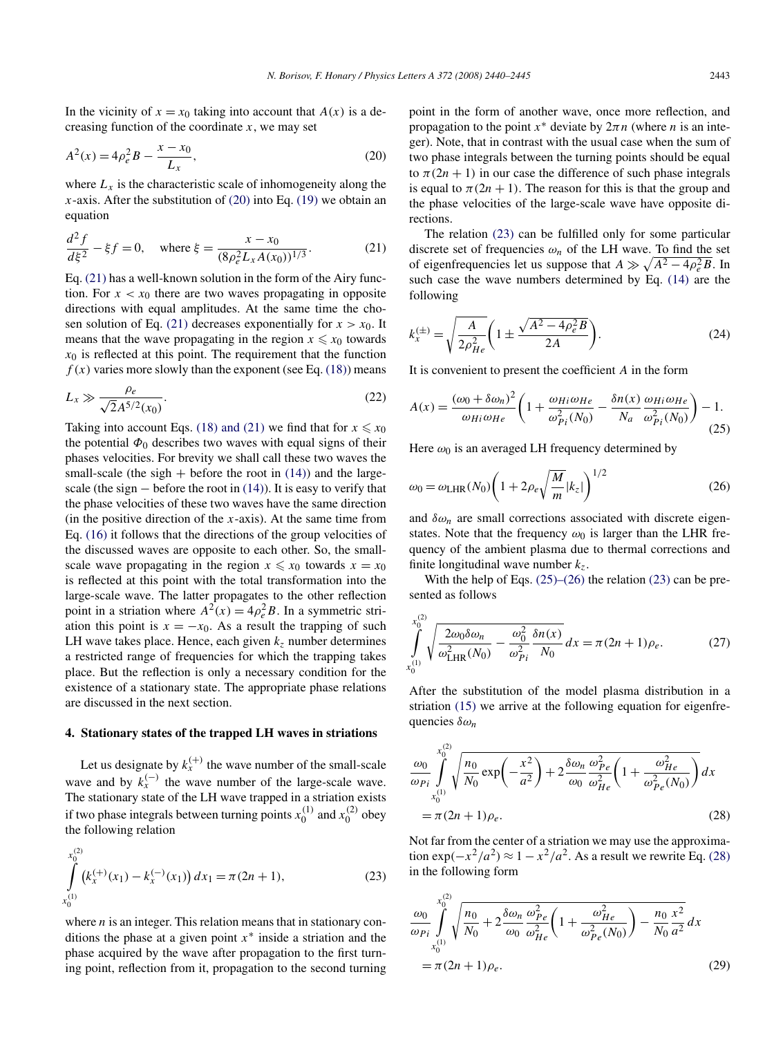$\mathbf{r}$ 

<span id="page-3-0"></span>In the vicinity of  $x = x_0$  taking into account that  $A(x)$  is a decreasing function of the coordinate  $x$ , we may set

$$
A^{2}(x) = 4\rho_{e}^{2}B - \frac{x - x_{0}}{L_{x}},
$$
\n(20)

where  $L<sub>x</sub>$  is the characteristic scale of inhomogeneity along the *x*-axis. After the substitution of  $(20)$  into Eq.  $(19)$  we obtain an equation

$$
\frac{d^2 f}{d\xi^2} - \xi f = 0, \quad \text{where } \xi = \frac{x - x_0}{(8\rho_e^2 L_x A(x_0))^{1/3}}.
$$
 (21)

Eq. (21) has a well-known solution in the form of the Airy function. For  $x < x_0$  there are two waves propagating in opposite directions with equal amplitudes. At the same time the chosen solution of Eq. (21) decreases exponentially for  $x > x_0$ . It means that the wave propagating in the region  $x \leq x_0$  towards  $x<sub>0</sub>$  is reflected at this point. The requirement that the function  $f(x)$  varies more slowly than the exponent (see Eq. [\(18\)\)](#page-2-0) means

$$
L_x \gg \frac{\rho_e}{\sqrt{2}A^{5/2}(x_0)}.\tag{22}
$$

Taking into account Eqs. [\(18\) and \(21\)](#page-2-0) we find that for  $x \le x_0$ the potential  $\Phi_0$  describes two waves with equal signs of their phases velocities. For brevity we shall call these two waves the small-scale (the sigh  $+$  before the root in [\(14\)\)](#page-2-0) and the largescale (the sign  $-$  before the root in [\(14\)\)](#page-2-0). It is easy to verify that the phase velocities of these two waves have the same direction (in the positive direction of the *x*-axis). At the same time from Eq. [\(16\)](#page-2-0) it follows that the directions of the group velocities of the discussed waves are opposite to each other. So, the smallscale wave propagating in the region  $x \leq x_0$  towards  $x = x_0$ is reflected at this point with the total transformation into the large-scale wave. The latter propagates to the other reflection point in a striation where  $A^2(x) = 4\rho_e^2 B$ . In a symmetric striation this point is  $x = -x_0$ . As a result the trapping of such LH wave takes place. Hence, each given  $k_z$  number determines a restricted range of frequencies for which the trapping takes place. But the reflection is only a necessary condition for the existence of a stationary state. The appropriate phase relations are discussed in the next section.

## **4. Stationary states of the trapped LH waves in striations**

Let us designate by  $k_x^{(+)}$  the wave number of the small-scale wave and by  $k_x^{(-)}$  the wave number of the large-scale wave. The stationary state of the LH wave trapped in a striation exists if two phase integrals between turning points  $x_0^{(1)}$  and  $x_0^{(2)}$  obey the following relation

$$
\int_{x_0^{(1)}}^{x_0^{(2)}} \left( k_x^{(+)}(x_1) - k_x^{(-)}(x_1) \right) dx_1 = \pi (2n + 1),\tag{23}
$$

where *n* is an integer. This relation means that in stationary conditions the phase at a given point *x*∗ inside a striation and the phase acquired by the wave after propagation to the first turning point, reflection from it, propagation to the second turning point in the form of another wave, once more reflection, and propagation to the point  $x^*$  deviate by  $2\pi n$  (where *n* is an integer). Note, that in contrast with the usual case when the sum of two phase integrals between the turning points should be equal to  $\pi(2n + 1)$  in our case the difference of such phase integrals is equal to  $\pi(2n + 1)$ . The reason for this is that the group and the phase velocities of the large-scale wave have opposite directions.

The relation (23) can be fulfilled only for some particular discrete set of frequencies  $\omega_n$  of the LH wave. To find the set of eigenfrequencies let us suppose that  $A \gg \sqrt{A^2 - 4\rho_e^2 B}$ . In such case the wave numbers determined by Eq. [\(14\)](#page-2-0) are the following

$$
k_x^{(\pm)} = \sqrt{\frac{A}{2\rho_{He}^2}} \left( 1 \pm \frac{\sqrt{A^2 - 4\rho_e^2 B}}{2A} \right).
$$
 (24)

It is convenient to present the coefficient *A* in the form

$$
A(x) = \frac{(\omega_0 + \delta \omega_n)^2}{\omega_{Hi}\omega_{He}} \left(1 + \frac{\omega_{Hi}\omega_{He}}{\omega_{Pi}^2(N_0)} - \frac{\delta n(x)}{N_a} \frac{\omega_{Hi}\omega_{He}}{\omega_{Pi}^2(N_0)}\right) - 1.
$$
\n(25)

Here  $\omega_0$  is an averaged LH frequency determined by

$$
\omega_0 = \omega_{\text{LHR}}(N_0) \left( 1 + 2\rho_e \sqrt{\frac{M}{m}} |k_z| \right)^{1/2} \tag{26}
$$

and  $\delta \omega_n$  are small corrections associated with discrete eigenstates. Note that the frequency  $\omega_0$  is larger than the LHR frequency of the ambient plasma due to thermal corrections and finite longitudinal wave number  $k_z$ .

With the help of Eqs. (25)–(26) the relation (23) can be presented as follows

$$
\int_{x_0^{(1)}}^{x_0^{(2)}} \sqrt{\frac{2\omega_0 \delta \omega_n}{\omega_{\text{LHR}}^2(N_0)} - \frac{\omega_0^2}{\omega_{\text{Pl}}^2} \frac{\delta n(x)}{N_0}} dx = \pi (2n+1)\rho_e. \tag{27}
$$

After the substitution of the model plasma distribution in a striation [\(15\)](#page-2-0) we arrive at the following equation for eigenfrequencies *δωn*

$$
\frac{\omega_0}{\omega_{Pi}} \int_{x_0^{(1)}}^{\frac{x_0^{(2)}}{N_0}} \sqrt{\frac{n_0}{N_0} \exp\left(-\frac{x^2}{a^2}\right) + 2 \frac{\delta \omega_n}{\omega_0} \frac{\omega_{Pe}^2}{\omega_{He}^2} \left(1 + \frac{\omega_{He}^2}{\omega_{Pe}^2(N_0)}\right)} dx
$$
\n
$$
= \pi (2n + 1) \rho_e.
$$
\n(28)

Not far from the center of a striation we may use the approximation exp $(-x^2/a^2) \approx 1 - x^2/a^2$ . As a result we rewrite Eq. (28) in the following form

$$
\frac{\omega_0}{\omega_{Pi}} \int_{x_0^{(1)}}^{\frac{x_0^{(2)}}{N_0}} \sqrt{\frac{n_0}{N_0} + 2 \frac{\delta \omega_n}{\omega_0} \frac{\omega_{Pe}^2}{\omega_{He}^2} \left(1 + \frac{\omega_{He}^2}{\omega_{Pe}^2(N_0)}\right) - \frac{n_0}{N_0} \frac{x^2}{a^2}} dx
$$
\n
$$
= \pi (2n + 1) \rho_e.
$$
\n(29)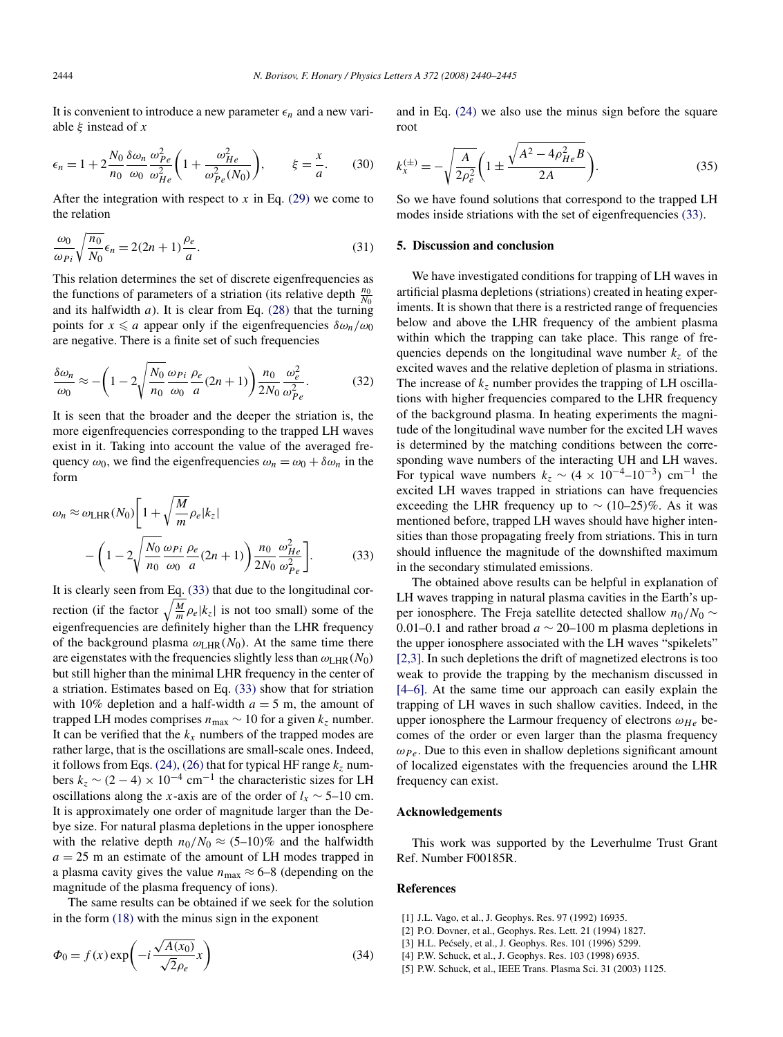<span id="page-4-0"></span>It is convenient to introduce a new parameter  $\epsilon_n$  and a new variable *ξ* instead of *x*

$$
\epsilon_n = 1 + 2 \frac{N_0}{n_0} \frac{\delta \omega_n}{\omega_0} \frac{\omega_{Pe}^2}{\omega_{He}^2} \left( 1 + \frac{\omega_{He}^2}{\omega_{Pe}^2(N_0)} \right), \qquad \xi = \frac{x}{a}.
$$
 (30)

After the integration with respect to  $x$  in Eq. [\(29\)](#page-3-0) we come to the relation

$$
\frac{\omega_0}{\omega_{Pi}} \sqrt{\frac{n_0}{N_0}} \epsilon_n = 2(2n+1)\frac{\rho_e}{a}.\tag{31}
$$

This relation determines the set of discrete eigenfrequencies as the functions of parameters of a striation (its relative depth  $\frac{n_0}{N_0}$ and its halfwidth *a*). It is clear from Eq. [\(28\)](#page-3-0) that the turning points for  $x \le a$  appear only if the eigenfrequencies  $\delta \omega_n/\omega_0$ are negative. There is a finite set of such frequencies

$$
\frac{\delta \omega_n}{\omega_0} \approx -\left(1 - 2\sqrt{\frac{N_0}{n_0}} \frac{\omega_{Pi}}{\omega_0} \frac{\rho_e}{a} (2n+1)\right) \frac{n_0}{2N_0} \frac{\omega_e^2}{\omega_{Pe}^2}.
$$
 (32)

It is seen that the broader and the deeper the striation is, the more eigenfrequencies corresponding to the trapped LH waves exist in it. Taking into account the value of the averaged frequency  $\omega_0$ , we find the eigenfrequencies  $\omega_n = \omega_0 + \delta \omega_n$  in the form

$$
\omega_n \approx \omega_{\text{LHR}}(N_0) \left[ 1 + \sqrt{\frac{M}{m}} \rho_e |k_z| - \left( 1 - 2\sqrt{\frac{N_0}{n_0} \frac{\omega_{Pi}}{\omega_0} \frac{\rho_e}{a}(2n+1)} \right) \frac{n_0}{2N_0} \frac{\omega_{He}^2}{\omega_{Pe}^2} \right].
$$
 (33)

It is clearly seen from Eq. (33) that due to the longitudinal correction (if the factor  $\sqrt{\frac{M}{m}} \rho_e |k_z|$  is not too small) some of the eigenfrequencies are definitely higher than the LHR frequency of the background plasma  $\omega_{\text{LHR}}(N_0)$ . At the same time there are eigenstates with the frequencies slightly less than  $\omega_{\text{LHR}}(N_0)$ but still higher than the minimal LHR frequency in the center of a striation. Estimates based on Eq. (33) show that for striation with 10% depletion and a half-width  $a = 5$  m, the amount of trapped LH modes comprises  $n_{\text{max}} \sim 10$  for a given  $k_z$  number. It can be verified that the  $k_x$  numbers of the trapped modes are rather large, that is the oscillations are small-scale ones. Indeed, it follows from Eqs.  $(24)$ ,  $(26)$  that for typical HF range  $k_z$  numbers  $k_z \sim (2 - 4) \times 10^{-4}$  cm<sup>-1</sup> the characteristic sizes for LH oscillations along the *x*-axis are of the order of  $l_x \sim 5{\text -}10$  cm. It is approximately one order of magnitude larger than the Debye size. For natural plasma depletions in the upper ionosphere with the relative depth  $n_0/N_0 \approx (5-10)\%$  and the halfwidth  $a = 25$  m an estimate of the amount of LH modes trapped in a plasma cavity gives the value  $n_{\text{max}} \approx 6-8$  (depending on the magnitude of the plasma frequency of ions).

The same results can be obtained if we seek for the solution in the form [\(18\)](#page-2-0) with the minus sign in the exponent

$$
\Phi_0 = f(x) \exp\left(-i \frac{\sqrt{A(x_0)}}{\sqrt{2} \rho_e} x\right) \tag{34}
$$

and in Eq. [\(24\)](#page-3-0) we also use the minus sign before the square root

$$
k_x^{(\pm)} = -\sqrt{\frac{A}{2\rho_e^2}} \left( 1 \pm \frac{\sqrt{A^2 - 4\rho_{He}^2 B}}{2A} \right). \tag{35}
$$

So we have found solutions that correspond to the trapped LH modes inside striations with the set of eigenfrequencies (33).

#### **5. Discussion and conclusion**

We have investigated conditions for trapping of LH waves in artificial plasma depletions (striations) created in heating experiments. It is shown that there is a restricted range of frequencies below and above the LHR frequency of the ambient plasma within which the trapping can take place. This range of frequencies depends on the longitudinal wave number  $k<sub>z</sub>$  of the excited waves and the relative depletion of plasma in striations. The increase of  $k_z$  number provides the trapping of LH oscillations with higher frequencies compared to the LHR frequency of the background plasma. In heating experiments the magnitude of the longitudinal wave number for the excited LH waves is determined by the matching conditions between the corresponding wave numbers of the interacting UH and LH waves. For typical wave numbers  $k_z \sim (4 \times 10^{-4} - 10^{-3})$  cm<sup>-1</sup> the excited LH waves trapped in striations can have frequencies exceeding the LHR frequency up to ∼ *(*10–25*)*%. As it was mentioned before, trapped LH waves should have higher intensities than those propagating freely from striations. This in turn should influence the magnitude of the downshifted maximum in the secondary stimulated emissions.

The obtained above results can be helpful in explanation of LH waves trapping in natural plasma cavities in the Earth's upper ionosphere. The Freja satellite detected shallow *n*<sub>0</sub>/*N*<sub>0</sub> ∼ 0.01–0.1 and rather broad  $a \sim 20-100$  m plasma depletions in the upper ionosphere associated with the LH waves "spikelets" [2,3]. In such depletions the drift of magnetized electrons is too weak to provide the trapping by the mechanism discussed in [4–6]. At the same time our approach can easily explain the trapping of LH waves in such shallow cavities. Indeed, in the upper ionosphere the Larmour frequency of electrons  $\omega_{He}$  becomes of the order or even larger than the plasma frequency  $\omega_{Pe}$ . Due to this even in shallow depletions significant amount of localized eigenstates with the frequencies around the LHR frequency can exist.

#### **Acknowledgements**

This work was supported by the Leverhulme Trust Grant Ref. Number F00185R.

# **References**

- [1] J.L. Vago, et al., J. Geophys. Res. 97 (1992) 16935.
- [2] P.O. Dovner, et al., Geophys. Res. Lett. 21 (1994) 1827.
- [3] H.L. Pećsely, et al., J. Geophys. Res. 101 (1996) 5299.
- [4] P.W. Schuck, et al., J. Geophys. Res. 103 (1998) 6935.
- [5] P.W. Schuck, et al., IEEE Trans. Plasma Sci. 31 (2003) 1125.